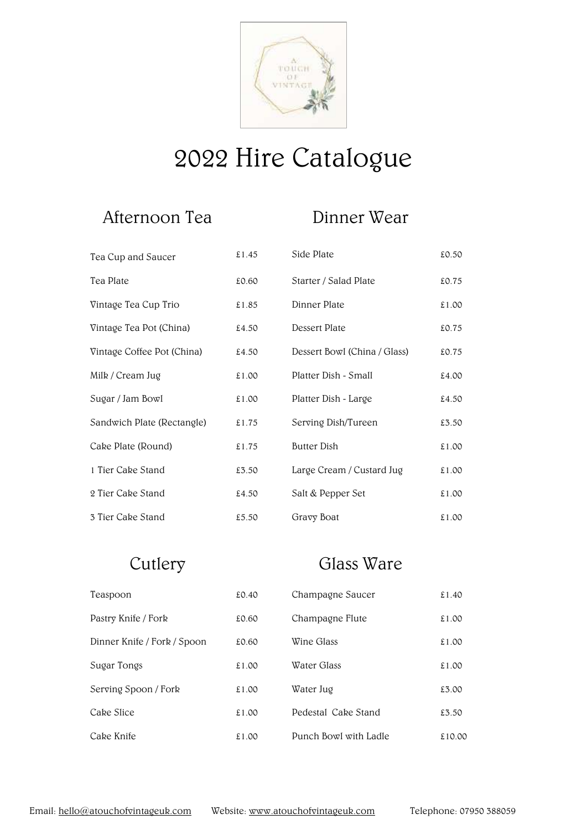

# 2022 Hire Catalogue

### Afternoon Tea Dinner Wear

| Tea Cup and Saucer         | £1.45 | Side Plate                   | £0.50 |
|----------------------------|-------|------------------------------|-------|
| Tea Plate                  | £0.60 | Starter / Salad Plate        | £0.75 |
| Vintage Tea Cup Trio       | £1.85 | Dinner Plate                 | £1.00 |
| Vintage Tea Pot (China)    | £4.50 | Dessert Plate                | £0.75 |
| Vintage Coffee Pot (China) | £4.50 | Dessert Bowl (China / Glass) | £0.75 |
| Milk / Cream Jug           | £1.00 | Platter Dish - Small         | £4.00 |
| Sugar / Jam Bowl           | £1.00 | Platter Dish - Large         | £4.50 |
| Sandwich Plate (Rectangle) | £1.75 | Serving Dish/Tureen          | £3.50 |
| Cake Plate (Round)         | £1.75 | <b>Butter Dish</b>           | £1.00 |
| 1 Tier Cake Stand          | £3.50 | Large Cream / Custard Jug    | £1.00 |
| 2 Tier Cake Stand          | £4.50 | Salt & Pepper Set            | £1.00 |
| 3 Tier Cake Stand          | £5.50 | Gravy Boat                   | £1.00 |

## Cutlery Glass Ware

| Teaspoon                    | £0.40 | Champagne Saucer      | £1.40  |
|-----------------------------|-------|-----------------------|--------|
| Pastry Knife / Fork         | £0.60 | Champagne Flute       | £1.00  |
| Dinner Knife / Fork / Spoon | £0.60 | Wine Glass            | £1.00  |
| Sugar Tongs                 | £1.00 | Water Glass           | £1.00  |
| Serving Spoon / Fork        | £1.00 | Water Jug             | £3.00  |
| Cake Slice                  | £1.00 | Pedestal Cake Stand   | £3.50  |
| Cake Knife                  | £1.00 | Punch Bowl with Ladle | £10.00 |